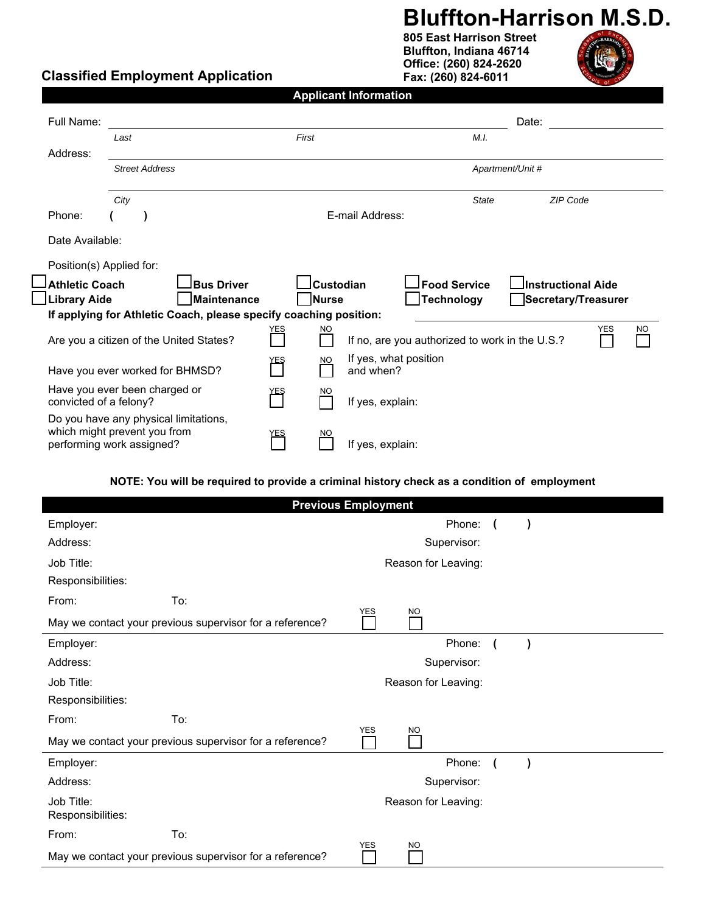## **Bluffton-Harrison M.S.D.**

**805 East Harrison Street Bluffton, Indiana 46714 Office: (260) 824-2620 Fax: (260) 824-6011** 



## **Classified Employment Application**

| <b>Applicant Information</b> |  |  |
|------------------------------|--|--|
|                              |  |  |
|                              |  |  |

| Full Name:                                                                              |                                                                                                    |                                                                   |     |                  |                                    |                     |              | Date:                                          |            |           |
|-----------------------------------------------------------------------------------------|----------------------------------------------------------------------------------------------------|-------------------------------------------------------------------|-----|------------------|------------------------------------|---------------------|--------------|------------------------------------------------|------------|-----------|
|                                                                                         | Last                                                                                               |                                                                   |     | First            |                                    |                     | M.I.         |                                                |            |           |
| Address:                                                                                |                                                                                                    |                                                                   |     |                  |                                    |                     |              |                                                |            |           |
|                                                                                         | <b>Street Address</b>                                                                              |                                                                   |     |                  |                                    | Apartment/Unit #    |              |                                                |            |           |
|                                                                                         |                                                                                                    |                                                                   |     |                  |                                    |                     |              |                                                |            |           |
|                                                                                         | City                                                                                               |                                                                   |     |                  |                                    |                     | <b>State</b> | ZIP Code                                       |            |           |
| Phone:                                                                                  |                                                                                                    |                                                                   |     |                  | E-mail Address:                    |                     |              |                                                |            |           |
| Date Available:                                                                         |                                                                                                    |                                                                   |     |                  |                                    |                     |              |                                                |            |           |
| Position(s) Applied for:                                                                |                                                                                                    |                                                                   |     |                  |                                    |                     |              |                                                |            |           |
| <b>Athletic Coach</b>                                                                   |                                                                                                    | <b>Bus Driver</b>                                                 |     | <b>Custodian</b> |                                    | <b>Food Service</b> |              | Instructional Aide                             |            |           |
| <b>Library Aide</b><br>Maintenance<br>Nurse<br><b>Technology</b><br>Secretary/Treasurer |                                                                                                    |                                                                   |     |                  |                                    |                     |              |                                                |            |           |
|                                                                                         |                                                                                                    | If applying for Athletic Coach, please specify coaching position: |     |                  |                                    |                     |              |                                                |            |           |
|                                                                                         | Are you a citizen of the United States?                                                            |                                                                   | ΈS  | <b>NO</b>        |                                    |                     |              | If no, are you authorized to work in the U.S.? | <b>YES</b> | <b>NO</b> |
| Have you ever worked for BHMSD?                                                         |                                                                                                    |                                                                   | ∕ES | <b>NO</b>        | If yes, what position<br>and when? |                     |              |                                                |            |           |
| Have you ever been charged or<br>convicted of a felony?                                 |                                                                                                    | <u>YEŞ</u>                                                        | NO. | If yes, explain: |                                    |                     |              |                                                |            |           |
|                                                                                         | Do you have any physical limitations,<br>which might prevent you from<br>performing work assigned? |                                                                   | YES | NO.              | If yes, explain:                   |                     |              |                                                |            |           |

## **NOTE: You will be required to provide a criminal history check as a condition of employment**

| <b>Previous Employment</b>                                                          |     |                     |                     |                         |           |  |
|-------------------------------------------------------------------------------------|-----|---------------------|---------------------|-------------------------|-----------|--|
| Employer:                                                                           |     |                     | Phone:              | $\sqrt{ }$              | $\lambda$ |  |
| Address:                                                                            |     | Supervisor:         |                     |                         |           |  |
| Job Title:                                                                          |     | Reason for Leaving: |                     |                         |           |  |
| Responsibilities:                                                                   |     |                     |                     |                         |           |  |
| From:                                                                               | To: |                     |                     |                         |           |  |
| <b>YES</b><br><b>NO</b><br>May we contact your previous supervisor for a reference? |     |                     |                     |                         |           |  |
| Employer:                                                                           |     |                     | Phone:              | $\overline{\mathbf{r}}$ | $\lambda$ |  |
| Address:                                                                            |     |                     | Supervisor:         |                         |           |  |
| Job Title:                                                                          |     |                     | Reason for Leaving: |                         |           |  |
| Responsibilities:                                                                   |     |                     |                     |                         |           |  |
| From:                                                                               | To: | <b>YES</b>          |                     |                         |           |  |
| May we contact your previous supervisor for a reference?                            |     |                     | <b>NO</b>           |                         |           |  |
| Employer:                                                                           |     |                     | Phone:              |                         | $\lambda$ |  |
| Address:                                                                            |     |                     | Supervisor:         |                         |           |  |
| Job Title:<br>Responsibilities:                                                     |     |                     | Reason for Leaving: |                         |           |  |
| From:                                                                               | To: | <b>YES</b>          |                     |                         |           |  |
| May we contact your previous supervisor for a reference?                            |     |                     | <b>NO</b>           |                         |           |  |